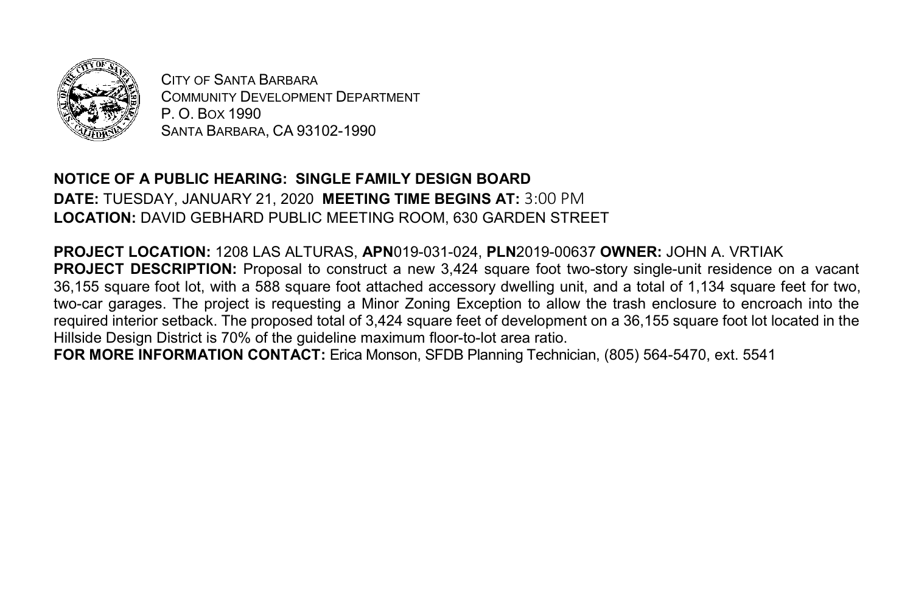

CITY OF SANTA BARBARA COMMUNITY DEVELOPMENT DEPARTMENT P. O. BOX 1990 SANTA BARBARA, CA 93102-1990

## **NOTICE OF A PUBLIC HEARING: SINGLE FAMILY DESIGN BOARD**

**DATE:** TUESDAY, JANUARY 21, 2020 **MEETING TIME BEGINS AT:** 3:00 PM **LOCATION:** DAVID GEBHARD PUBLIC MEETING ROOM, 630 GARDEN STREET

**PROJECT LOCATION:** 1208 LAS ALTURAS, **APN**019-031-024, **PLN**2019-00637 **OWNER:** JOHN A. VRTIAK **PROJECT DESCRIPTION:** Proposal to construct a new 3,424 square foot two-story single-unit residence on a vacant 36,155 square foot lot, with a 588 square foot attached accessory dwelling unit, and a total of 1,134 square feet for two, two-car garages. The project is requesting a Minor Zoning Exception to allow the trash enclosure to encroach into the required interior setback. The proposed total of 3,424 square feet of development on a 36,155 square foot lot located in the Hillside Design District is 70% of the guideline maximum floor-to-lot area ratio.

**FOR MORE INFORMATION CONTACT:** Erica Monson, SFDB Planning Technician, (805) 564-5470, ext. 5541